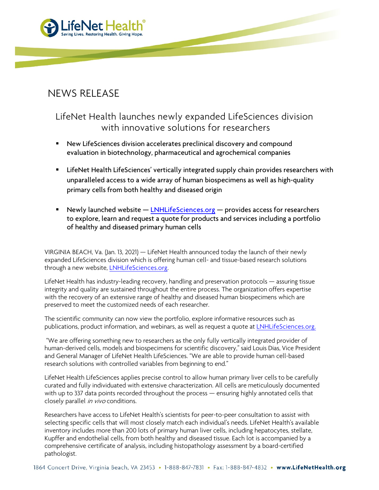

## NEWS RELEASE

## LifeNet Health launches newly expanded LifeSciences division with innovative solutions for researchers

- New LifeSciences division accelerates preclinical discovery and compound evaluation in biotechnology, pharmaceutical and agrochemical companies
- **EXTENET Health LifeSciences' vertically integrated supply chain provides researchers with** unparalleled access to a wide array of human biospecimens as well as high-quality primary cells from both healthy and diseased origin
- Newly launched website  $-\text{LNHL}$  if esciences.org  $-\text{p}$  provides access for researchers to explore, learn and request a quote for products and services including a portfolio of healthy and diseased primary human cells

VIRGINIA BEACH, Va. (Jan. 13, 2021) — LifeNet Health announced today the launch of their newly expanded LifeSciences division which is offering human cell- and tissue-based research solutions through a new website, [LNHLifeSciences.org.](http://lnhlifesciences.org/)

LifeNet Health has industry-leading recovery, handling and preservation protocols — assuring tissue integrity and quality are sustained throughout the entire process. The organization offers expertise with the recovery of an extensive range of healthy and diseased human biospecimens which are preserved to meet the customized needs of each researcher.

The scientific community can now view the portfolio, explore informative resources such as publications, product information, and webinars, as well as request a quote a[t LNHLifeSciences.org.](http://lnhlifesciences.org/)

"We are offering something new to researchers as the only fully vertically integrated provider of human-derived cells, models and biospecimens for scientific discovery," said Louis Dias, Vice President and General Manager of LifeNet Health LifeSciences. "We are able to provide human cell-based research solutions with controlled variables from beginning to end."

LifeNet Health LifeSciences applies precise control to allow human primary liver cells to be carefully curated and fully individuated with extensive characterization. All cells are meticulously documented with up to 337 data points recorded throughout the process — ensuring highly annotated cells that closely parallel in vivo conditions.

Researchers have access to LifeNet Health's scientists for peer-to-peer consultation to assist with selecting specific cells that will most closely match each individual's needs. LifeNet Health's available inventory includes more than 200 lots of primary human liver cells, including hepatocytes, stellate, Kupffer and endothelial cells, from both healthy and diseased tissue. Each lot is accompanied by a comprehensive certificate of analysis, including histopathology assessment by a board-certified pathologist.